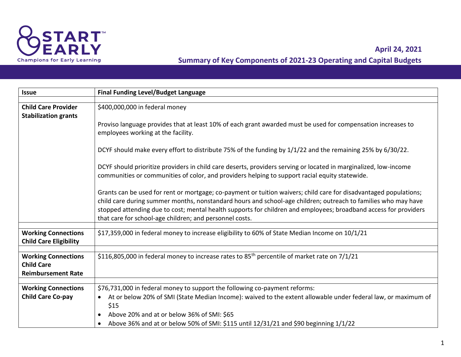

## **Summary of Key Components of 2021-23 Operating and Capital Budgets April 24, 2021**

| <b>Issue</b>                                                                 | <b>Final Funding Level/Budget Language</b>                                                                                                                                                                                                                                                                                                                                                                        |
|------------------------------------------------------------------------------|-------------------------------------------------------------------------------------------------------------------------------------------------------------------------------------------------------------------------------------------------------------------------------------------------------------------------------------------------------------------------------------------------------------------|
|                                                                              |                                                                                                                                                                                                                                                                                                                                                                                                                   |
| <b>Child Care Provider</b><br><b>Stabilization grants</b>                    | \$400,000,000 in federal money                                                                                                                                                                                                                                                                                                                                                                                    |
|                                                                              | Proviso language provides that at least 10% of each grant awarded must be used for compensation increases to<br>employees working at the facility.                                                                                                                                                                                                                                                                |
|                                                                              | DCYF should make every effort to distribute 75% of the funding by 1/1/22 and the remaining 25% by 6/30/22.                                                                                                                                                                                                                                                                                                        |
|                                                                              | DCYF should prioritize providers in child care deserts, providers serving or located in marginalized, low-income<br>communities or communities of color, and providers helping to support racial equity statewide.                                                                                                                                                                                                |
|                                                                              | Grants can be used for rent or mortgage; co-payment or tuition waivers; child care for disadvantaged populations;<br>child care during summer months, nonstandard hours and school-age children; outreach to families who may have<br>stopped attending due to cost; mental health supports for children and employees; broadband access for providers<br>that care for school-age children; and personnel costs. |
| <b>Working Connections</b><br><b>Child Care Eligibility</b>                  | \$17,359,000 in federal money to increase eligibility to 60% of State Median Income on 10/1/21                                                                                                                                                                                                                                                                                                                    |
| <b>Working Connections</b><br><b>Child Care</b><br><b>Reimbursement Rate</b> | \$116,805,000 in federal money to increase rates to 85 <sup>th</sup> percentile of market rate on 7/1/21                                                                                                                                                                                                                                                                                                          |
| <b>Working Connections</b>                                                   | \$76,731,000 in federal money to support the following co-payment reforms:                                                                                                                                                                                                                                                                                                                                        |
| <b>Child Care Co-pay</b>                                                     | At or below 20% of SMI (State Median Income): waived to the extent allowable under federal law, or maximum of<br>\$15<br>Above 20% and at or below 36% of SMI: \$65<br>Above 36% and at or below 50% of SMI: \$115 until 12/31/21 and \$90 beginning 1/1/22                                                                                                                                                       |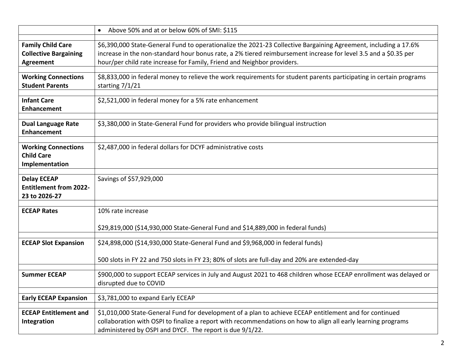|                                                                       | Above 50% and at or below 60% of SMI: \$115<br>$\bullet$                                                                                                                                                                                                                                                      |
|-----------------------------------------------------------------------|---------------------------------------------------------------------------------------------------------------------------------------------------------------------------------------------------------------------------------------------------------------------------------------------------------------|
| <b>Family Child Care</b><br><b>Collective Bargaining</b><br>Agreement | \$6,390,000 State-General Fund to operationalize the 2021-23 Collective Bargaining Agreement, including a 17.6%<br>increase in the non-standard hour bonus rate, a 2% tiered reimbursement increase for level 3.5 and a \$0.35 per<br>hour/per child rate increase for Family, Friend and Neighbor providers. |
| <b>Working Connections</b><br><b>Student Parents</b>                  | \$8,833,000 in federal money to relieve the work requirements for student parents participating in certain programs<br>starting 7/1/21                                                                                                                                                                        |
| <b>Infant Care</b><br><b>Enhancement</b>                              | \$2,521,000 in federal money for a 5% rate enhancement                                                                                                                                                                                                                                                        |
| <b>Dual Language Rate</b><br><b>Enhancement</b>                       | \$3,380,000 in State-General Fund for providers who provide bilingual instruction                                                                                                                                                                                                                             |
| <b>Working Connections</b><br><b>Child Care</b><br>Implementation     | \$2,487,000 in federal dollars for DCYF administrative costs                                                                                                                                                                                                                                                  |
| <b>Delay ECEAP</b><br><b>Entitlement from 2022-</b><br>23 to 2026-27  | Savings of \$57,929,000                                                                                                                                                                                                                                                                                       |
| <b>ECEAP Rates</b>                                                    | 10% rate increase<br>\$29,819,000 (\$14,930,000 State-General Fund and \$14,889,000 in federal funds)                                                                                                                                                                                                         |
| <b>ECEAP Slot Expansion</b>                                           | \$24,898,000 (\$14,930,000 State-General Fund and \$9,968,000 in federal funds)<br>500 slots in FY 22 and 750 slots in FY 23; 80% of slots are full-day and 20% are extended-day                                                                                                                              |
| <b>Summer ECEAP</b>                                                   | \$900,000 to support ECEAP services in July and August 2021 to 468 children whose ECEAP enrollment was delayed or<br>disrupted due to COVID                                                                                                                                                                   |
| <b>Early ECEAP Expansion</b>                                          | \$3,781,000 to expand Early ECEAP                                                                                                                                                                                                                                                                             |
| <b>ECEAP Entitlement and</b><br>Integration                           | \$1,010,000 State-General Fund for development of a plan to achieve ECEAP entitlement and for continued<br>collaboration with OSPI to finalize a report with recommendations on how to align all early learning programs<br>administered by OSPI and DYCF. The report is due 9/1/22.                          |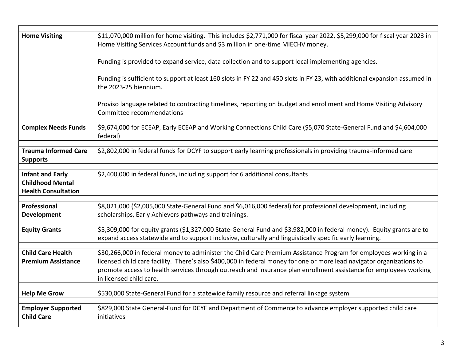| <b>Home Visiting</b>                                                             | \$11,070,000 million for home visiting. This includes \$2,771,000 for fiscal year 2022, \$5,299,000 for fiscal year 2023 in<br>Home Visiting Services Account funds and \$3 million in one-time MIECHV money.                                                                                                                                                                             |
|----------------------------------------------------------------------------------|-------------------------------------------------------------------------------------------------------------------------------------------------------------------------------------------------------------------------------------------------------------------------------------------------------------------------------------------------------------------------------------------|
|                                                                                  | Funding is provided to expand service, data collection and to support local implementing agencies.                                                                                                                                                                                                                                                                                        |
|                                                                                  | Funding is sufficient to support at least 160 slots in FY 22 and 450 slots in FY 23, with additional expansion assumed in<br>the 2023-25 biennium.                                                                                                                                                                                                                                        |
|                                                                                  | Proviso language related to contracting timelines, reporting on budget and enrollment and Home Visiting Advisory<br>Committee recommendations                                                                                                                                                                                                                                             |
| <b>Complex Needs Funds</b>                                                       | \$9,674,000 for ECEAP, Early ECEAP and Working Connections Child Care (\$5,070 State-General Fund and \$4,604,000<br>federal)                                                                                                                                                                                                                                                             |
| <b>Trauma Informed Care</b><br><b>Supports</b>                                   | \$2,802,000 in federal funds for DCYF to support early learning professionals in providing trauma-informed care                                                                                                                                                                                                                                                                           |
| <b>Infant and Early</b><br><b>Childhood Mental</b><br><b>Health Consultation</b> | \$2,400,000 in federal funds, including support for 6 additional consultants                                                                                                                                                                                                                                                                                                              |
| Professional<br>Development                                                      | \$8,021,000 (\$2,005,000 State-General Fund and \$6,016,000 federal) for professional development, including<br>scholarships, Early Achievers pathways and trainings.                                                                                                                                                                                                                     |
| <b>Equity Grants</b>                                                             | \$5,309,000 for equity grants (\$1,327,000 State-General Fund and \$3,982,000 in federal money). Equity grants are to<br>expand access statewide and to support inclusive, culturally and linguistically specific early learning.                                                                                                                                                         |
| <b>Child Care Health</b><br><b>Premium Assistance</b>                            | \$30,266,000 in federal money to administer the Child Care Premium Assistance Program for employees working in a<br>licensed child care facility. There's also \$400,000 in federal money for one or more lead navigator organizations to<br>promote access to health services through outreach and insurance plan enrollment assistance for employees working<br>in licensed child care. |
| <b>Help Me Grow</b>                                                              | \$530,000 State-General Fund for a statewide family resource and referral linkage system                                                                                                                                                                                                                                                                                                  |
|                                                                                  |                                                                                                                                                                                                                                                                                                                                                                                           |
| <b>Employer Supported</b><br><b>Child Care</b>                                   | \$829,000 State General-Fund for DCYF and Department of Commerce to advance employer supported child care<br>initiatives                                                                                                                                                                                                                                                                  |
|                                                                                  |                                                                                                                                                                                                                                                                                                                                                                                           |